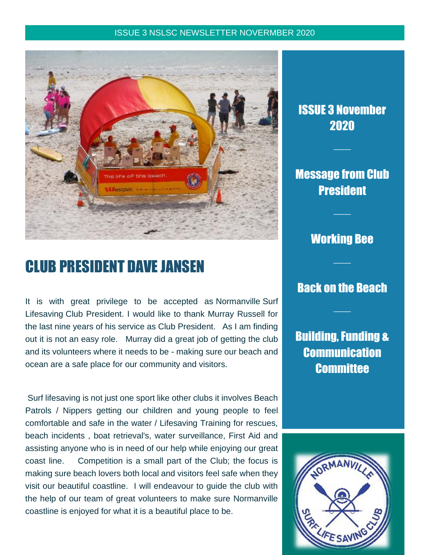#### ISSUE 3 NSLSC NEWSLETTER NOVERMBER 2020



# CLUB PRESIDENT DAVE JANSEN

It is with great privilege to be accepted as Normanville Surf Lifesaving Club President. I would like to thank Murray Russell for the last nine years of his service as Club President. As I am finding out it is not an easy role. Murray did a great job of getting the club and its volunteers where it needs to be - making sure our beach and ocean are a safe place for our community and visitors.

Surf lifesaving is not just one sport like other clubs it involves Beach Patrols / Nippers getting our children and young people to feel comfortable and safe in the water / Lifesaving Training for rescues, beach incidents , boat retrieval's, water surveillance, First Aid and assisting anyone who is in need of our help while enjoying our great coast line. Competition is a small part of the Club; the focus is making sure beach lovers both local and visitors feel safe when they visit our beautiful coastline. I will endeavour to guide the club with the help of our team of great volunteers to make sure Normanville coastline is enjoyed for what it is a beautiful place to be.

## ISSUE 3 November 2020

 $\overline{\phantom{a}}$ 

## Message from Club **President**

 $\overline{\phantom{a}}$ 

### Working Bee

 $\overline{\phantom{a}}$ 

### Back on the Beach

 $\overline{\phantom{a}}$ 

Building, Funding & **Communication Committee** 

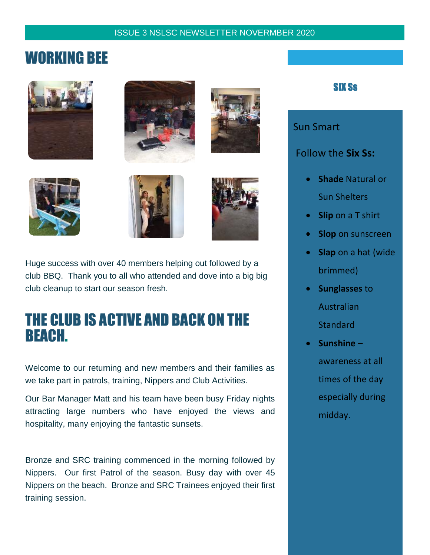#### ISSUE 3 NSLSC NEWSLETTER NOVERMBER 2020

## WORKING BEE













Huge success with over 40 members helping out followed by a club BBQ. Thank you to all who attended and dove into a big big club cleanup to start our season fresh.

## THE CLUB IS ACTIVE AND BACK ON THE BEACH.

Welcome to our returning and new members and their families as we take part in patrols, training, Nippers and Club Activities.

Our Bar Manager Matt and his team have been busy Friday nights attracting large numbers who have enjoyed the views and hospitality, many enjoying the fantastic sunsets.

Bronze and SRC training commenced in the morning followed by Nippers. Our first Patrol of the season. Busy day with over 45 Nippers on the beach. Bronze and SRC Trainees enjoyed their first training session.

### **SIX Ss**

Sun Smart

Follow the **Six Ss:**

- **Shade** Natural or Sun Shelters
- **Slip** on a T shirt
- **Slop** on sunscreen
- **Slap** on a hat (wide brimmed)
- **Sunglasses** to Australian **Standard**
- **Sunshine –** awareness at all times of the day especially during midday.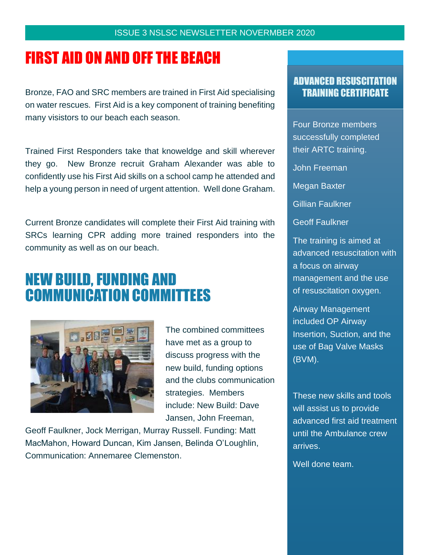# FIRST AID ON AND OFF THE BEACH

Bronze, FAO and SRC members are trained in First Aid specialising on water rescues. First Aid is a key component of training benefiting many visistors to our beach each season.

Trained First Responders take that knoweldge and skill wherever they go. New Bronze recruit Graham Alexander was able to confidently use his First Aid skills on a school camp he attended and help a young person in need of urgent attention. Well done Graham.

Current Bronze candidates will complete their First Aid training with SRCs learning CPR adding more trained responders into the community as well as on our beach.

# NEW BUILD, FUNDING AND COMMUNICATION COMMITTEES



The combined committees have met as a group to discuss progress with the new build, funding options and the clubs communication strategies. Members include: New Build: Dave Jansen, John Freeman,

Geoff Faulkner, Jock Merrigan, Murray Russell. Funding: Matt MacMahon, Howard Duncan, Kim Jansen, Belinda O'Loughlin, Communication: Annemaree Clemenston.

### ADVANCED RESUSCITATION TRAINING CERTIFICATE

Four Bronze members successfully completed their ARTC training.

John Freeman

Megan Baxter

Gillian Faulkner

Geoff Faulkner

The training is aimed at advanced resuscitation with a focus on airway management and the use of resuscitation oxygen.

Airway Management included OP Airway Insertion, Suction, and the use of Bag Valve Masks (BVM).

These new skills and tools will assist us to provide advanced first aid treatment until the Ambulance crew arrives.

Well done team.